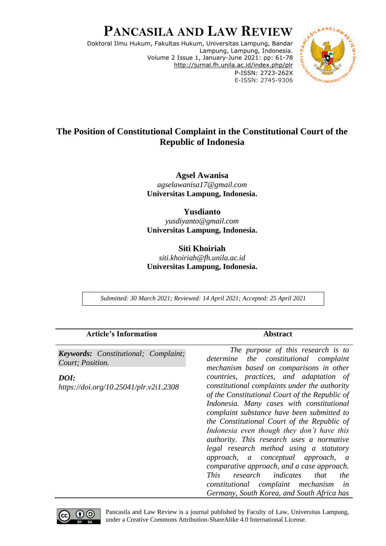# **PANCASILA AND LAW REVIEW**

Doktoral Ilmu Hukum, Fakultas Hukum, Universitas Lampung, Bandar Lampung, Lampung, Indonesia. Volume 2 Issue 1, January-June 2021: pp: 61-78 <http://jurnal.fh.unila.ac.id/index.php/plr> P-ISSN: 2723-262X E-ISSN: 2745-9306



# **The Position of Constitutional Complaint in the Constitutional Court of the Republic of Indonesia**

**Agsel Awanisa** *agselawanisa17@gmail.com* **Universitas Lampung, Indonesia.**

**Yusdianto** *yusdiyanto@gmail.com* **Universitas Lampung, Indonesia.**

# **Siti Khoiriah** *siti.khoiriah@fh.unila.ac.id* **Universitas Lampung, Indonesia.**

*Submitted: 30 March 2021; Reviewed: 14 April 2021; Accepted: 25 April 2021*

| <b>Article's Information</b>                                    | <b>Abstract</b>                                                                                                                                                                                                                                                                                                                                                                                                                                                                                                                                                                                                                                                     |
|-----------------------------------------------------------------|---------------------------------------------------------------------------------------------------------------------------------------------------------------------------------------------------------------------------------------------------------------------------------------------------------------------------------------------------------------------------------------------------------------------------------------------------------------------------------------------------------------------------------------------------------------------------------------------------------------------------------------------------------------------|
| <b>Keywords:</b> Constitutional; Complaint;<br>Court; Position. | The purpose of this research is to<br>determine the constitutional complaint<br>mechanism based on comparisons in other                                                                                                                                                                                                                                                                                                                                                                                                                                                                                                                                             |
| DOI:<br>https://doi.org/10.25041/plr.v2i1.2308                  | countries, practices, and adaptation of<br>constitutional complaints under the authority<br>of the Constitutional Court of the Republic of<br>Indonesia. Many cases with constitutional<br>complaint substance have been submitted to<br>the Constitutional Court of the Republic of<br>Indonesia even though they don't have this<br>authority. This research uses a normative<br>legal research method using a statutory<br>approach, a conceptual approach, a<br>comparative approach, and a case approach.<br>research <i>indicates</i><br><i>This</i><br>that<br>the<br>constitutional complaint mechanism<br>in<br>Germany, South Korea, and South Africa has |



Pancasila and Law Review is a journal published by Faculty of Law, Universitas Lampung, under a Creative Commons Attribution-ShareAlike 4.0 International License.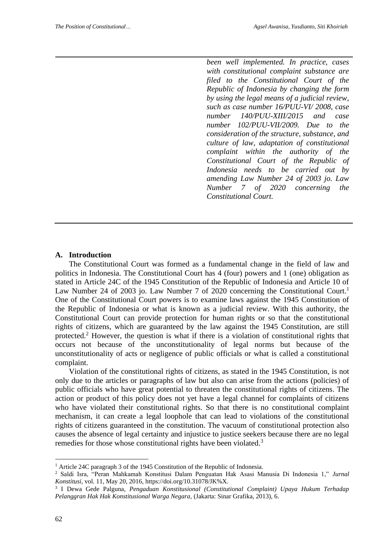*been well implemented. In practice, cases with constitutional complaint substance are filed to the Constitutional Court of the Republic of Indonesia by changing the form by using the legal means of a judicial review, such as case number 16/PUU-VI/ 2008, case number 140/PUU-XIII/2015 and case number 102/PUU-VII/2009. Due to the consideration of the structure, substance, and culture of law, adaptation of constitutional complaint within the authority of the Constitutional Court of the Republic of Indonesia needs to be carried out by amending Law Number 24 of 2003 jo. Law Number 7 of 2020 concerning the Constitutional Court.*

#### **A. Introduction**

The Constitutional Court was formed as a fundamental change in the field of law and politics in Indonesia. The Constitutional Court has 4 (four) powers and 1 (one) obligation as stated in Article 24C of the 1945 Constitution of the Republic of Indonesia and Article 10 of Law Number 24 of 2003 jo. Law Number 7 of 2020 concerning the Constitutional Court.<sup>1</sup> One of the Constitutional Court powers is to examine laws against the 1945 Constitution of the Republic of Indonesia or what is known as a judicial review. With this authority, the Constitutional Court can provide protection for human rights or so that the constitutional rights of citizens, which are guaranteed by the law against the 1945 Constitution, are still protected.<sup>2</sup> However, the question is what if there is a violation of constitutional rights that occurs not because of the unconstitutionality of legal norms but because of the unconstitutionality of acts or negligence of public officials or what is called a constitutional complaint.

Violation of the constitutional rights of citizens, as stated in the 1945 Constitution, is not only due to the articles or paragraphs of law but also can arise from the actions (policies) of public officials who have great potential to threaten the constitutional rights of citizens. The action or product of this policy does not yet have a legal channel for complaints of citizens who have violated their constitutional rights. So that there is no constitutional complaint mechanism, it can create a legal loophole that can lead to violations of the constitutional rights of citizens guaranteed in the constitution. The vacuum of constitutional protection also causes the absence of legal certainty and injustice to justice seekers because there are no legal remedies for those whose constitutional rights have been violated.<sup>3</sup>

<sup>&</sup>lt;sup>1</sup> Article 24C paragraph 3 of the 1945 Constitution of the Republic of Indonesia.

<sup>2</sup> Saldi Isra, "Peran Mahkamah Konstitusi Dalam Penguatan Hak Asasi Manusia Di Indonesia 1," *Jurnal Konstitusi*, vol. 11, May 20, 2016, https://doi.org/10.31078/JK%X.

<sup>3</sup> I Dewa Gede Palguna*, Pengaduan Konstitusional (Constitutional Complaint) Upaya Hukum Terhadap Pelanggran Hak Hak Konstitusional Warga Negara,* (Jakarta: Sinar Grafika, 2013), 6.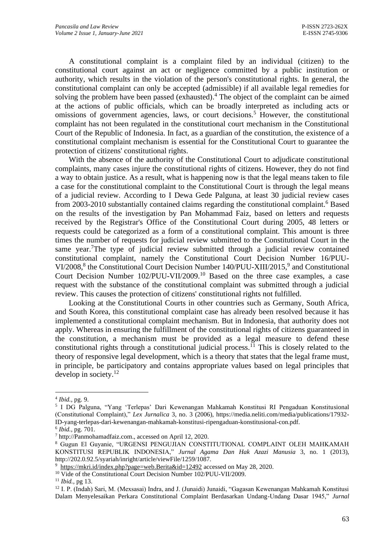A constitutional complaint is a complaint filed by an individual (citizen) to the constitutional court against an act or negligence committed by a public institution or authority, which results in the violation of the person's constitutional rights. In general, the constitutional complaint can only be accepted (admissible) if all available legal remedies for solving the problem have been passed (exhausted).<sup>4</sup> The object of the complaint can be aimed at the actions of public officials, which can be broadly interpreted as including acts or omissions of government agencies, laws, or court decisions.<sup>5</sup> However, the constitutional complaint has not been regulated in the constitutional court mechanism in the Constitutional Court of the Republic of Indonesia. In fact, as a guardian of the constitution, the existence of a constitutional complaint mechanism is essential for the Constitutional Court to guarantee the protection of citizens' constitutional rights.

 With the absence of the authority of the Constitutional Court to adjudicate constitutional complaints, many cases injure the constitutional rights of citizens. However, they do not find a way to obtain justice. As a result, what is happening now is that the legal means taken to file a case for the constitutional complaint to the Constitutional Court is through the legal means of a judicial review. According to I Dewa Gede Palguna, at least 30 judicial review cases from 2003-2010 substantially contained claims regarding the constitutional complaint.<sup>6</sup> Based on the results of the investigation by Pan Mohammad Faiz, based on letters and requests received by the Registrar's Office of the Constitutional Court during 2005, 48 letters or requests could be categorized as a form of a constitutional complaint. This amount is three times the number of requests for judicial review submitted to the Constitutional Court in the same year.<sup>7</sup>The type of judicial review submitted through a judicial review contained constitutional complaint, namely the Constitutional Court Decision Number 16/PUU-VI/2008,<sup>8</sup> the Constitutional Court Decision Number 140/PUU-XIII/2015,<sup>9</sup> and Constitutional Court Decision Number 102/PUU-VII/2009. <sup>10</sup> Based on the three case examples, a case request with the substance of the constitutional complaint was submitted through a judicial review. This causes the protection of citizens' constitutional rights not fulfilled.

 Looking at the Constitutional Courts in other countries such as Germany, South Africa, and South Korea, this constitutional complaint case has already been resolved because it has implemented a constitutional complaint mechanism. But in Indonesia, that authority does not apply. Whereas in ensuring the fulfillment of the constitutional rights of citizens guaranteed in the constitution, a mechanism must be provided as a legal measure to defend these constitutional rights through a constitutional judicial process.<sup> $\bar{1}$ </sup> This is closely related to the theory of responsive legal development, which is a theory that states that the legal frame must, in principle, be participatory and contains appropriate values based on legal principles that develop in society.<sup>12</sup>

<sup>4</sup> *Ibid.,* pg. 9.

<sup>5</sup> I DG Palguna, "Yang 'Terlepas' Dari Kewenangan Mahkamah Konstitusi RI Pengaduan Konstitusional (Constitutional Complaint)," *Lex Jurnalica* 3, no. 3 (2006), https://media.neliti.com/media/publications/17932- ID-yang-terlepas-dari-kewenangan-mahkamah-konstitusi-ripengaduan-konstitusional-con.pdf.

<sup>6</sup> *Ibid.,* pg. 701.

<sup>7</sup> http://Panmohamadfaiz.com., accessed on April 12, 2020.

<sup>8</sup> Gugun El Guyanie, "URGENSI PENGUJIAN CONSTITUTIONAL COMPLAINT OLEH MAHKAMAH KONSTITUSI REPUBLIK INDONESIA," *Jurnal Agama Dan Hak Azazi Manusia* 3, no. 1 (2013), http://202.0.92.5/syariah/inright/article/viewFile/1259/1087.

 $9$  <https://mkri.id/index.php?page=web.Berita&id=12492> accessed on May 28, 2020.

<sup>&</sup>lt;sup>10</sup> Vide of the Constitutional Court Decision Number 102/PUU-VII/2009.

<sup>11</sup> *Ibid.,* pg 13.

<sup>&</sup>lt;sup>12</sup> I. P. (Indah) Sari, M. (Mexsasai) Indra, and J. (Junaidi) Junaidi, "Gagasan Kewenangan Mahkamah Konstitusi Dalam Menyelesaikan Perkara Constitutional Complaint Berdasarkan Undang-Undang Dasar 1945," *Jurnal*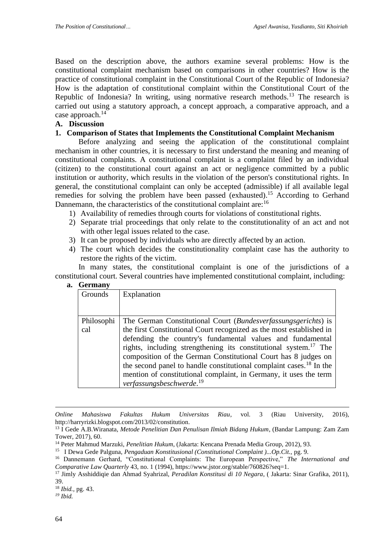Based on the description above, the authors examine several problems: How is the constitutional complaint mechanism based on comparisons in other countries? How is the practice of constitutional complaint in the Constitutional Court of the Republic of Indonesia? How is the adaptation of constitutional complaint within the Constitutional Court of the Republic of Indonesia? In writing, using normative research methods.<sup>13</sup> The research is carried out using a statutory approach, a concept approach, a comparative approach, and a case approach. $^{14}$ 

### **A. Discussion**

### **1. Comparison of States that Implements the Constitutional Complaint Mechanism**

Before analyzing and seeing the application of the constitutional complaint mechanism in other countries, it is necessary to first understand the meaning and meaning of constitutional complaints. A constitutional complaint is a complaint filed by an individual (citizen) to the constitutional court against an act or negligence committed by a public institution or authority, which results in the violation of the person's constitutional rights. In general, the constitutional complaint can only be accepted (admissible) if all available legal remedies for solving the problem have been passed (exhausted).<sup>15</sup> According to Gerhand Dannemann, the characteristics of the constitutional complaint are:<sup>16</sup>

- 1) Availability of remedies through courts for violations of constitutional rights.
- 2) Separate trial proceedings that only relate to the constitutionality of an act and not with other legal issues related to the case.
- 3) It can be proposed by individuals who are directly affected by an action.
- 4) The court which decides the constitutionality complaint case has the authority to restore the rights of the victim.

In many states, the constitutional complaint is one of the jurisdictions of a constitutional court. Several countries have implemented constitutional complaint, including:

**a. Germany**

| uvuuni            |                                                                                                                                                                                                                                                                                                                                                                                                                                                                                                                                                                 |
|-------------------|-----------------------------------------------------------------------------------------------------------------------------------------------------------------------------------------------------------------------------------------------------------------------------------------------------------------------------------------------------------------------------------------------------------------------------------------------------------------------------------------------------------------------------------------------------------------|
| Grounds           | Explanation                                                                                                                                                                                                                                                                                                                                                                                                                                                                                                                                                     |
| Philosophi<br>cal | The German Constitutional Court ( <i>Bundesverfassungsgerichts</i> ) is<br>the first Constitutional Court recognized as the most established in<br>defending the country's fundamental values and fundamental<br>rights, including strengthening its constitutional system. <sup>17</sup> The<br>composition of the German Constitutional Court has 8 judges on<br>the second panel to handle constitutional complaint cases. <sup>18</sup> In the<br>mention of constitutional complaint, in Germany, it uses the term<br>verfassungsbeschwerde. <sup>19</sup> |

*Online Mahasiswa Fakultas Hukum Universitas Riau*, vol. 3 (Riau University, 2016), http://harryrizki.blogspot.com/2013/02/constitution.

<sup>18</sup> *Ibid.,* pg. 43.

*<sup>19</sup> Ibid.*

<sup>13</sup> I Gede A.B.Wiranata, *Metode Penelitian Dan Penulisan Ilmiah Bidang Hukum*, (Bandar Lampung: Zam Zam Tower, 2017), 60.

<sup>14</sup> Peter Mahmud Marzuki, *Penelitian Hukum*, (Jakarta: Kencana Prenada Media Group, 2012), 93.

<sup>15</sup> I Dewa Gede Palguna, *Pengaduan Konstitusional (Constitutional Complaint )...Op.Cit.,* pg. 9.

<sup>16</sup> Dannemann Gerhard, "Constitutional Complaints: The European Perspective," *The International and Comparative Law Quarterly* 43, no. 1 (1994), https://www.jstor.org/stable/760826?seq=1.

<sup>17</sup> Jimly Asshiddiqie dan Ahmad Syahrizal, *Peradilan Konstitusi di 10 Negara*, ( Jakarta: Sinar Grafika, 2011), 39.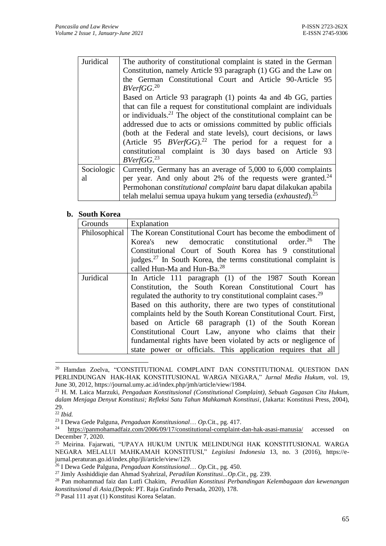| Juridical        | The authority of constitutional complaint is stated in the German<br>Constitution, namely Article 93 paragraph (1) GG and the Law on<br>the German Constitutional Court and Article 90-Article 95<br>BVerfGG. <sup>20</sup>                                                                                                                                                                                                                                                                                                          |
|------------------|--------------------------------------------------------------------------------------------------------------------------------------------------------------------------------------------------------------------------------------------------------------------------------------------------------------------------------------------------------------------------------------------------------------------------------------------------------------------------------------------------------------------------------------|
|                  | Based on Article 93 paragraph (1) points 4a and 4b GG, parties<br>that can file a request for constitutional complaint are individuals<br>or individuals. <sup>21</sup> The object of the constitutional complaint can be<br>addressed due to acts or omissions committed by public officials<br>(both at the Federal and state levels), court decisions, or laws<br>(Article 95 <i>BVerfGG</i> ). <sup>22</sup> The period for a request for a<br>constitutional complaint is 30 days based on Article 93<br>BVerfGG. <sup>23</sup> |
| Sociologic<br>al | Currently, Germany has an average of 5,000 to 6,000 complaints<br>per year. And only about 2% of the requests were granted. $^{24}$<br>Permohonan constitutional complaint baru dapat dilakukan apabila<br>telah melalui semua upaya hukum yang tersedia (exhausted). <sup>25</sup>                                                                                                                                                                                                                                                  |

#### **b. South Korea**

| Grounds          | Explanation                                                                  |
|------------------|------------------------------------------------------------------------------|
| Philosophical    | The Korean Constitutional Court has become the embodiment of                 |
|                  | new democratic constitutional order. <sup>26</sup><br>The<br>Korea's         |
|                  | Constitutional Court of South Korea has 9 constitutional                     |
|                  | judges. <sup>27</sup> In South Korea, the terms constitutional complaint is  |
|                  | called Hun-Ma and Hun-Ba. <sup>28</sup>                                      |
| <b>Juridical</b> | In Article 111 paragraph (1) of the 1987 South Korean                        |
|                  | Constitution, the South Korean Constitutional Court has                      |
|                  | regulated the authority to try constitutional complaint cases. <sup>29</sup> |
|                  | Based on this authority, there are two types of constitutional               |
|                  | complaints held by the South Korean Constitutional Court. First,             |
|                  | based on Article 68 paragraph (1) of the South Korean                        |
|                  | Constitutional Court Law, anyone who claims that their                       |
|                  | fundamental rights have been violated by acts or negligence of               |
|                  | state power or officials. This application requires that all                 |

<sup>20</sup> Hamdan Zoelva, "CONSTITUTIONAL COMPLAINT DAN CONSTITUTIONAL QUESTION DAN PERLINDUNGAN HAK-HAK KONSTITUSIONAL WARGA NEGARA," *Jurnal Media Hukum*, vol. 19, June 30, 2012, https://journal.umy.ac.id/index.php/jmh/article/view/1984.

<sup>21</sup> H. M. Laica Marzuki, *Pengaduan Konstitusional (Constitutional Complaint), Sebuah Gagasan Cita Hukum, dalam Menjaga Denyut Konstitusi; Refleksi Satu Tahun Mahkamah Konstitusi*, (Jakarta: Konstitusi Press, 2004), 29.

<sup>22</sup> *Ibid.*

<sup>23</sup> I Dewa Gede Palguna, *Pengaduan Konstitusional*… *Op.*Cit., pg. 417.

<sup>24</sup> <https://panmohamadfaiz.com/2006/09/17/constitutional-complaint-dan-hak-asasi-manusia/> accessed on December 7, 2020.

<sup>&</sup>lt;sup>25</sup> Meirina. Fajarwati, "UPAYA HUKUM UNTUK MELINDUNGI HAK KONSTITUSIONAL WARGA NEGARA MELALUI MAHKAMAH KONSTITUSI," *Legislasi Indonesia* 13, no. 3 (2016), https://ejurnal.peraturan.go.id/index.php/jli/article/view/129.

<sup>26</sup> I Dewa Gede Palguna, *Pengaduan Konstitusional*… *Op.*Cit., pg. 450.

<sup>27</sup> Jimly Asshiddiqie dan Ahmad Syahrizal, *Peradilan Konstitusi...Op.Cit.,* pg. 239.

<sup>28</sup> Pan mohammad faiz dan Lutfi Chakim, *Peradilan Konstitusi Perbandingan Kelembagaan dan kewenangan konstitusional di Asia,*(Depok: PT. Raja Grafindo Persada, 2020), 178.

<sup>29</sup> Pasal 111 ayat (1) Konstitusi Korea Selatan.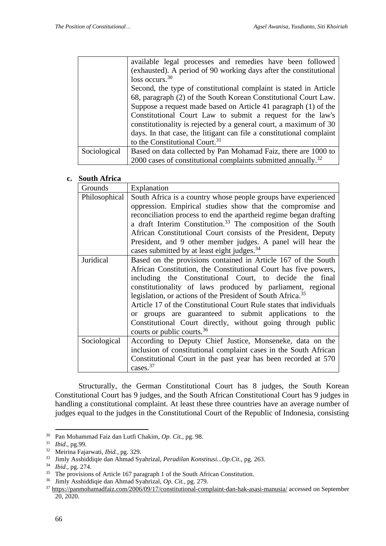|              | available legal processes and remedies have been followed                 |
|--------------|---------------------------------------------------------------------------|
|              | (exhausted). A period of 90 working days after the constitutional         |
|              | loss occurs. $30$                                                         |
|              | Second, the type of constitutional complaint is stated in Article         |
|              | 68, paragraph (2) of the South Korean Constitutional Court Law.           |
|              | Suppose a request made based on Article 41 paragraph (1) of the           |
|              | Constitutional Court Law to submit a request for the law's                |
|              | constitutionality is rejected by a general court, a maximum of 30         |
|              | days. In that case, the litigant can file a constitutional complaint      |
|              | to the Constitutional Court. <sup>31</sup>                                |
| Sociological | Based on data collected by Pan Mohamad Faiz, there are 1000 to            |
|              | 2000 cases of constitutional complaints submitted annually. <sup>32</sup> |

#### **c. South Africa**

| Grounds       | Explanation                                                                                                                                                                                                                                                                                                                                                                                                                                                                                                                                                                    |
|---------------|--------------------------------------------------------------------------------------------------------------------------------------------------------------------------------------------------------------------------------------------------------------------------------------------------------------------------------------------------------------------------------------------------------------------------------------------------------------------------------------------------------------------------------------------------------------------------------|
| Philosophical | South Africa is a country whose people groups have experienced<br>oppression. Empirical studies show that the compromise and<br>reconciliation process to end the apartheid regime began drafting<br>a draft Interim Constitution. <sup>33</sup> The composition of the South<br>African Constitutional Court consists of the President, Deputy<br>President, and 9 other member judges. A panel will hear the                                                                                                                                                                 |
|               | cases submitted by at least eight judges. <sup>34</sup>                                                                                                                                                                                                                                                                                                                                                                                                                                                                                                                        |
| Juridical     | Based on the provisions contained in Article 167 of the South<br>African Constitution, the Constitutional Court has five powers,<br>including the Constitutional Court, to decide the final<br>constitutionality of laws produced by parliament, regional<br>legislation, or actions of the President of South Africa. <sup>35</sup><br>Article 17 of the Constitutional Court Rule states that individuals<br>or groups are guaranteed to submit applications to the<br>Constitutional Court directly, without going through public<br>courts or public courts. <sup>36</sup> |
| Sociological  | According to Deputy Chief Justice, Monseneke, data on the<br>inclusion of constitutional complaint cases in the South African<br>Constitutional Court in the past year has been recorded at 570<br>cases. $37$                                                                                                                                                                                                                                                                                                                                                                 |

Structurally, the German Constitutional Court has 8 judges, the South Korean Constitutional Court has 9 judges, and the South African Constitutional Court has 9 judges in handling a constitutional complaint. At least these three countries have an average number of judges equal to the judges in the Constitutional Court of the Republic of Indonesia, consisting

<sup>30</sup> Pan Mohammad Faiz dan Lutfi Chakim, *Op. Cit.,* pg. 98.

<sup>&</sup>lt;sup>31</sup> *Ibid.*, pg.99.<br><sup>32</sup> Meirina Faiz

<sup>32</sup> Meirina Fajarwati, *Ibid.*, pg. 329.

<sup>33</sup> Jimly Asshiddiqie dan Ahmad Syahrizal, *Peradilan Konstitusi...Op.Cit.,* pg. 263.

<sup>34</sup> *Ibid.,* pg. 274.

<sup>&</sup>lt;sup>35</sup> The provisions of Article 167 paragraph 1 of the South African Constitution.

<sup>36</sup> Jimly Asshiddiqie dan Ahmad Syahrizal, *Op. Cit.,* pg. 279.

<sup>37</sup> <https://panmohamadfaiz.com/2006/09/17/constitutional-complaint-dan-hak-asasi-manusia/> accessed on September 20, 2020.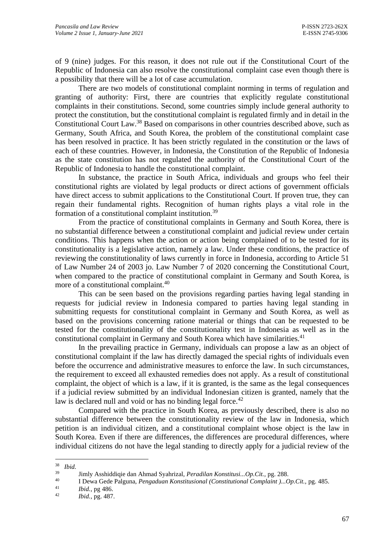of 9 (nine) judges. For this reason, it does not rule out if the Constitutional Court of the Republic of Indonesia can also resolve the constitutional complaint case even though there is a possibility that there will be a lot of case accumulation.

There are two models of constitutional complaint norming in terms of regulation and granting of authority: First, there are countries that explicitly regulate constitutional complaints in their constitutions. Second, some countries simply include general authority to protect the constitution, but the constitutional complaint is regulated firmly and in detail in the Constitutional Court Law.<sup>38</sup> Based on comparisons in other countries described above, such as Germany, South Africa, and South Korea, the problem of the constitutional complaint case has been resolved in practice. It has been strictly regulated in the constitution or the laws of each of these countries. However, in Indonesia, the Constitution of the Republic of Indonesia as the state constitution has not regulated the authority of the Constitutional Court of the Republic of Indonesia to handle the constitutional complaint.

In substance, the practice in South Africa, individuals and groups who feel their constitutional rights are violated by legal products or direct actions of government officials have direct access to submit applications to the Constitutional Court. If proven true, they can regain their fundamental rights. Recognition of human rights plays a vital role in the formation of a constitutional complaint institution*.* 39

From the practice of constitutional complaints in Germany and South Korea, there is no substantial difference between a constitutional complaint and judicial review under certain conditions. This happens when the action or action being complained of to be tested for its constitutionality is a legislative action, namely a law. Under these conditions, the practice of reviewing the constitutionality of laws currently in force in Indonesia, according to Article 51 of Law Number 24 of 2003 jo. Law Number 7 of 2020 concerning the Constitutional Court, when compared to the practice of constitutional complaint in Germany and South Korea, is more of a constitutional complaint.<sup>40</sup>

This can be seen based on the provisions regarding parties having legal standing in requests for judicial review in Indonesia compared to parties having legal standing in submitting requests for constitutional complaint in Germany and South Korea, as well as based on the provisions concerning ratione material or things that can be requested to be tested for the constitutionality of the constitutionality test in Indonesia as well as in the constitutional complaint in Germany and South Korea which have similarities.<sup>41</sup>

In the prevailing practice in Germany, individuals can propose a law as an object of constitutional complaint if the law has directly damaged the special rights of individuals even before the occurrence and administrative measures to enforce the law. In such circumstances, the requirement to exceed all exhausted remedies does not apply. As a result of constitutional complaint, the object of which is a law, if it is granted, is the same as the legal consequences if a judicial review submitted by an individual Indonesian citizen is granted, namely that the law is declared null and void or has no binding legal force.<sup>42</sup>

Compared with the practice in South Korea, as previously described, there is also no substantial difference between the constitutionality review of the law in Indonesia, which petition is an individual citizen, and a constitutional complaint whose object is the law in South Korea. Even if there are differences, the differences are procedural differences, where individual citizens do not have the legal standing to directly apply for a judicial review of the

<sup>38</sup> *Ibid.*

<sup>39</sup> Jimly Asshiddiqie dan Ahmad Syahrizal, *Peradilan Konstitusi...Op.Cit.,* pg. 288.

<sup>40</sup> I Dewa Gede Palguna, *Pengaduan Konstitusional (Constitutional Complaint )...Op.Cit.,* pg. 485.

 $\frac{41}{42}$  *Ibid.*, pg 486.

<sup>42</sup> *Ibid.,* pg. 487.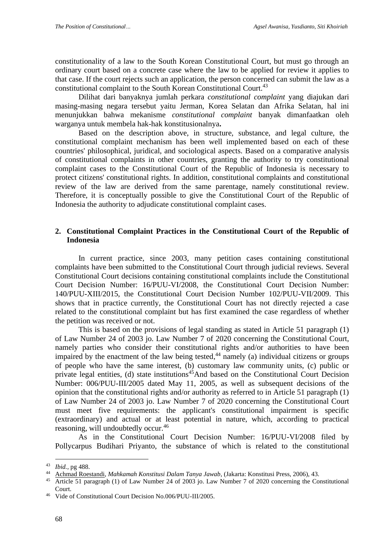constitutionality of a law to the South Korean Constitutional Court, but must go through an ordinary court based on a concrete case where the law to be applied for review it applies to that case. If the court rejects such an application, the person concerned can submit the law as a constitutional complaint to the South Korean Constitutional Court.<sup>43</sup>

Dilihat dari banyaknya jumlah perkara *constitutional complaint* yang diajukan dari masing-masing negara tersebut yaitu Jerman, Korea Selatan dan Afrika Selatan, hal ini menunjukkan bahwa mekanisme *constitutional complaint* banyak dimanfaatkan oleh warganya untuk membela hak-hak konstitusionalnya**.** 

Based on the description above, in structure, substance, and legal culture, the constitutional complaint mechanism has been well implemented based on each of these countries' philosophical, juridical, and sociological aspects. Based on a comparative analysis of constitutional complaints in other countries, granting the authority to try constitutional complaint cases to the Constitutional Court of the Republic of Indonesia is necessary to protect citizens' constitutional rights. In addition, constitutional complaints and constitutional review of the law are derived from the same parentage, namely constitutional review. Therefore, it is conceptually possible to give the Constitutional Court of the Republic of Indonesia the authority to adjudicate constitutional complaint cases.

#### **2. Constitutional Complaint Practices in the Constitutional Court of the Republic of Indonesia**

In current practice, since 2003, many petition cases containing constitutional complaints have been submitted to the Constitutional Court through judicial reviews. Several Constitutional Court decisions containing constitutional complaints include the Constitutional Court Decision Number: 16/PUU-VI/2008, the Constitutional Court Decision Number: 140/PUU-XIII/2015, the Constitutional Court Decision Number 102/PUU-VII/2009. This shows that in practice currently, the Constitutional Court has not directly rejected a case related to the constitutional complaint but has first examined the case regardless of whether the petition was received or not.

This is based on the provisions of legal standing as stated in Article 51 paragraph (1) of Law Number 24 of 2003 jo. Law Number 7 of 2020 concerning the Constitutional Court, namely parties who consider their constitutional rights and/or authorities to have been impaired by the enactment of the law being tested,<sup>44</sup> namely (a) individual citizens or groups of people who have the same interest, (b) customary law community units, (c) public or private legal entities, (d) state institutions<sup>45</sup>And based on the Constitutional Court Decision Number: 006/PUU-III/2005 dated May 11, 2005, as well as subsequent decisions of the opinion that the constitutional rights and/or authority as referred to in Article 51 paragraph (1) of Law Number 24 of 2003 jo. Law Number 7 of 2020 concerning the Constitutional Court must meet five requirements: the applicant's constitutional impairment is specific (extraordinary) and actual or at least potential in nature, which, according to practical reasoning, will undoubtedly occur.<sup>46</sup>

As in the Constitutional Court Decision Number: 16/PUU-VI/2008 filed by Pollycarpus Budihari Priyanto, the substance of which is related to the constitutional

<sup>43</sup> *Ibid.,* pg 488.

<sup>44</sup> [Achmad Roestandi,](https://www.google.co.id/search?hl=id&tbo=p&tbm=bks&q=inauthor:%22Achmad+Roestandi%22&source=gbs_metadata_r&cad=3) *Mahkamah Konstitusi Dalam Tanya Jawab*, (Jakarta: Konstitusi Press, 2006), 43.

Article 51 paragraph (1) of Law Number 24 of 2003 jo. Law Number 7 of 2020 concerning the Constitutional Court.

Vide of Constitutional Court Decision No.006/PUU-III/2005.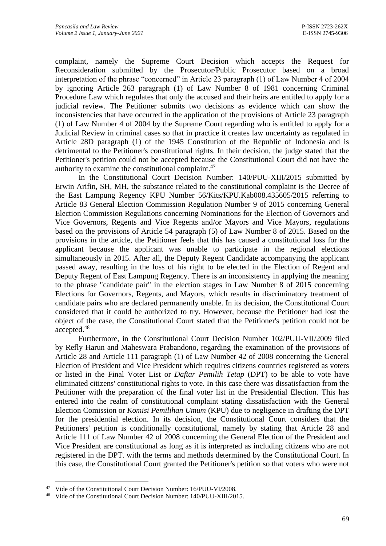complaint, namely the Supreme Court Decision which accepts the Request for Reconsideration submitted by the Prosecutor/Public Prosecutor based on a broad interpretation of the phrase "concerned" in Article 23 paragraph (1) of Law Number 4 of 2004 by ignoring Article 263 paragraph (1) of Law Number 8 of 1981 concerning Criminal Procedure Law which regulates that only the accused and their heirs are entitled to apply for a judicial review. The Petitioner submits two decisions as evidence which can show the inconsistencies that have occurred in the application of the provisions of Article 23 paragraph (1) of Law Number 4 of 2004 by the Supreme Court regarding who is entitled to apply for a Judicial Review in criminal cases so that in practice it creates law uncertainty as regulated in Article 28D paragraph (1) of the 1945 Constitution of the Republic of Indonesia and is detrimental to the Petitioner's constitutional rights. In their decision, the judge stated that the Petitioner's petition could not be accepted because the Constitutional Court did not have the authority to examine the constitutional complaint.<sup>47</sup>

In the Constitutional Court Decision Number: 140/PUU-XIII/2015 submitted by Erwin Arifin, SH, MH, the substance related to the constitutional complaint is the Decree of the East Lampung Regency KPU Number 56/Kits/KPU.Kab008.435605/2015 referring to Article 83 General Election Commission Regulation Number 9 of 2015 concerning General Election Commission Regulations concerning Nominations for the Election of Governors and Vice Governors, Regents and Vice Regents and/or Mayors and Vice Mayors, regulations based on the provisions of Article 54 paragraph (5) of Law Number 8 of 2015. Based on the provisions in the article, the Petitioner feels that this has caused a constitutional loss for the applicant because the applicant was unable to participate in the regional elections simultaneously in 2015. After all, the Deputy Regent Candidate accompanying the applicant passed away, resulting in the loss of his right to be elected in the Election of Regent and Deputy Regent of East Lampung Regency. There is an inconsistency in applying the meaning to the phrase "candidate pair" in the election stages in Law Number 8 of 2015 concerning Elections for Governors, Regents, and Mayors, which results in discriminatory treatment of candidate pairs who are declared permanently unable. In its decision, the Constitutional Court considered that it could be authorized to try. However, because the Petitioner had lost the object of the case, the Constitutional Court stated that the Petitioner's petition could not be accepted.<sup>48</sup>

Furthermore, in the Constitutional Court Decision Number 102/PUU-VII/2009 filed by Refly Harun and Maheswara Prabandono, regarding the examination of the provisions of Article 28 and Article 111 paragraph (1) of Law Number 42 of 2008 concerning the General Election of President and Vice President which requires citizens countries registered as voters or listed in the Final Voter List or *Daftar Pemilih Tetap* (DPT) to be able to vote have eliminated citizens' constitutional rights to vote. In this case there was dissatisfaction from the Petitioner with the preparation of the final voter list in the Presidential Election. This has entered into the realm of constitutional complaint stating dissatisfaction with the General Election Comission or *Komisi Pemilihan Umum* (KPU) due to negligence in drafting the DPT for the presidential election. In its decision, the Constitutional Court considers that the Petitioners' petition is conditionally constitutional, namely by stating that Article 28 and Article 111 of Law Number 42 of 2008 concerning the General Election of the President and Vice President are constitutional as long as it is interpreted as including citizens who are not registered in the DPT. with the terms and methods determined by the Constitutional Court. In this case, the Constitutional Court granted the Petitioner's petition so that voters who were not

<sup>&</sup>lt;sup>47</sup> Vide of the Constitutional Court Decision Number: 16/PUU-VI/2008.

<sup>48</sup> Vide of the Constitutional Court Decision Number: 140/PUU-XIII/2015.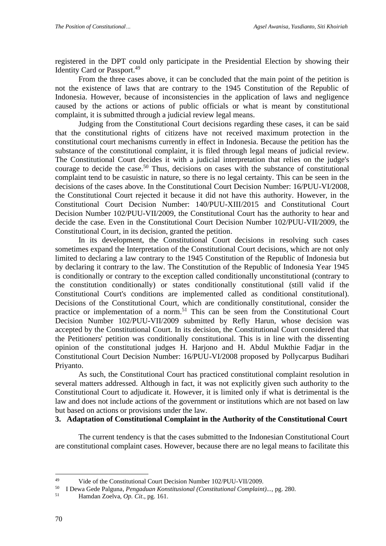registered in the DPT could only participate in the Presidential Election by showing their Identity Card or Passport.<sup>49</sup>

From the three cases above, it can be concluded that the main point of the petition is not the existence of laws that are contrary to the 1945 Constitution of the Republic of Indonesia. However, because of inconsistencies in the application of laws and negligence caused by the actions or actions of public officials or what is meant by constitutional complaint, it is submitted through a judicial review legal means.

Judging from the Constitutional Court decisions regarding these cases, it can be said that the constitutional rights of citizens have not received maximum protection in the constitutional court mechanisms currently in effect in Indonesia. Because the petition has the substance of the constitutional complaint, it is filed through legal means of judicial review. The Constitutional Court decides it with a judicial interpretation that relies on the judge's courage to decide the case. <sup>50</sup> Thus, decisions on cases with the substance of constitutional complaint tend to be casuistic in nature, so there is no legal certainty. This can be seen in the decisions of the cases above. In the Constitutional Court Decision Number: 16/PUU-VI/2008, the Constitutional Court rejected it because it did not have this authority. However, in the Constitutional Court Decision Number: 140/PUU-XIII/2015 and Constitutional Court Decision Number 102/PUU-VII/2009, the Constitutional Court has the authority to hear and decide the case. Even in the Constitutional Court Decision Number 102/PUU-VII/2009, the Constitutional Court, in its decision, granted the petition.

In its development, the Constitutional Court decisions in resolving such cases sometimes expand the Interpretation of the Constitutional Court decisions, which are not only limited to declaring a law contrary to the 1945 Constitution of the Republic of Indonesia but by declaring it contrary to the law. The Constitution of the Republic of Indonesia Year 1945 is conditionally or contrary to the exception called conditionally unconstitutional (contrary to the constitution conditionally) or states conditionally constitutional (still valid if the Constitutional Court's conditions are implemented called as conditional constitutional). Decisions of the Constitutional Court, which are conditionally constitutional, consider the practice or implementation of a norm.<sup>51</sup> This can be seen from the Constitutional Court Decision Number 102/PUU-VII/2009 submitted by Refly Harun, whose decision was accepted by the Constitutional Court. In its decision, the Constitutional Court considered that the Petitioners' petition was conditionally constitutional. This is in line with the dissenting opinion of the constitutional judges H. Harjono and H. Abdul Mukthie Fadjar in the Constitutional Court Decision Number: 16/PUU-VI/2008 proposed by Pollycarpus Budihari Priyanto.

As such, the Constitutional Court has practiced constitutional complaint resolution in several matters addressed. Although in fact, it was not explicitly given such authority to the Constitutional Court to adjudicate it. However, it is limited only if what is detrimental is the law and does not include actions of the government or institutions which are not based on law but based on actions or provisions under the law.

# **3. Adaptation of Constitutional Complaint in the Authority of the Constitutional Court**

The current tendency is that the cases submitted to the Indonesian Constitutional Court are constitutional complaint cases. However, because there are no legal means to facilitate this

<sup>49</sup> Vide of the Constitutional Court Decision Number 102/PUU-VII/2009.

<sup>50</sup> I Dewa Gede Palguna*, Pengaduan Konstitusional (Constitutional Complaint)...,* pg. 280.

<sup>51</sup> Hamdan Zoelva, *Op. Cit*., pg. 161.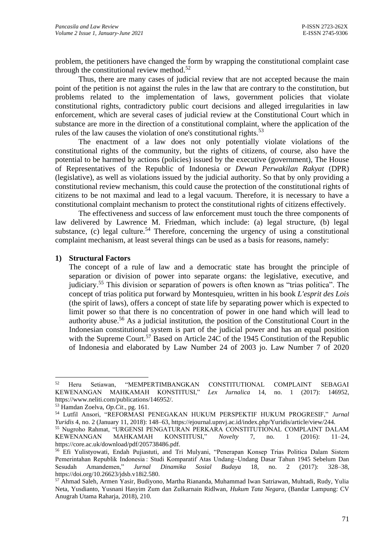problem, the petitioners have changed the form by wrapping the constitutional complaint case through the constitutional review method. $52$ 

Thus, there are many cases of judicial review that are not accepted because the main point of the petition is not against the rules in the law that are contrary to the constitution, but problems related to the implementation of laws, government policies that violate constitutional rights, contradictory public court decisions and alleged irregularities in law enforcement, which are several cases of judicial review at the Constitutional Court which in substance are more in the direction of a constitutional complaint, where the application of the rules of the law causes the violation of one's constitutional rights.<sup>53</sup>

The enactment of a law does not only potentially violate violations of the constitutional rights of the community, but the rights of citizens, of course, also have the potential to be harmed by actions (policies) issued by the executive (government), The House of Representatives of the Republic of Indonesia or *Dewan Perwakilan Rakyat* (DPR) (legislative), as well as violations issued by the judicial authority. So that by only providing a constitutional review mechanism, this could cause the protection of the constitutional rights of citizens to be not maximal and lead to a legal vacuum. Therefore, it is necessary to have a constitutional complaint mechanism to protect the constitutional rights of citizens effectively.

The effectiveness and success of law enforcement must touch the three components of law delivered by Lawrence M. Friedman, which include: (a) legal structure, (b) legal substance, (c) legal culture.<sup>54</sup> Therefore, concerning the urgency of using a constitutional complaint mechanism, at least several things can be used as a basis for reasons, namely:

#### **1) Structural Factors**

The concept of a rule of law and a democratic state has brought the principle of separation or division of power into separate organs: the legislative, executive, and judiciary.<sup>55</sup> This division or separation of powers is often known as "trias politica". The concept of trias politica put forward by Montesquieu, written in his book *L'esprit des Lois* (the spirit of laws), offers a concept of state life by separating power which is expected to limit power so that there is no concentration of power in one hand which will lead to authority abuse.<sup>56</sup> As a judicial institution, the position of the Constitutional Court in the Indonesian constitutional system is part of the judicial power and has an equal position with the Supreme Court.<sup>57</sup> Based on Article 24C of the 1945 Constitution of the Republic of Indonesia and elaborated by Law Number 24 of 2003 jo. Law Number 7 of 2020

<sup>52</sup> Heru Setiawan, "MEMPERTIMBANGKAN CONSTITUTIONAL COMPLAINT SEBAGAI KEWENANGAN MAHKAMAH KONSTITUSI," *Lex Jurnalica* 14, no. 1 (2017): 146952, https://www.neliti.com/publications/146952/.

<sup>53</sup> Hamdan Zoelva, *Op.Cit*., pg. 161.

<sup>54</sup> Lutfil Ansori, "REFORMASI PENEGAKAN HUKUM PERSPEKTIF HUKUM PROGRESIF," *Jurnal Yuridis* 4, no. 2 (January 11, 2018): 148–63, https://ejournal.upnvj.ac.id/index.php/Yuridis/article/view/244. <sup>55</sup> Nugroho Rahmat, "URGENSI PENGATURAN PERKARA CONSTITUTIONAL COMPLAINT DALAM KEWENANGAN MAHKAMAH KONSTITUSI," *Novelty* 7, no. 1 (2016): 11–24, https://core.ac.uk/download/pdf/205738486.pdf.

<sup>56</sup> Efi Yulistyowati, Endah Pujiastuti, and Tri Mulyani, "Penerapan Konsep Trias Politica Dalam Sistem Pemerintahan Republik Indonesia : Studi Komparatif Atas Undang–Undang Dasar Tahun 1945 Sebelum Dan Sesudah Amandemen," *Jurnal Dinamika Sosial Budaya* 18, no. 2 (2017): 328–38, https://doi.org/10.26623/jdsb.v18i2.580.

<sup>57</sup> Ahmad Saleh, Armen Yasir, Budiyono, Martha Riananda, Muhammad Iwan Satriawan, Muhtadi, Rudy, Yulia Neta, Yusdianto, Yusnani Hasyim Zum dan Zulkarnain Ridlwan, *Hukum Tata Negara*, (Bandar Lampung: CV Anugrah Utama Raharja, 2018), 210.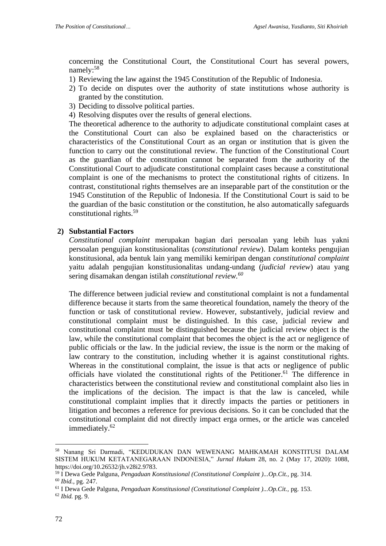concerning the Constitutional Court, the Constitutional Court has several powers, namely:<sup>58</sup>

- 1) Reviewing the law against the 1945 Constitution of the Republic of Indonesia.
- 2) To decide on disputes over the authority of state institutions whose authority is granted by the constitution.
- 3) Deciding to dissolve political parties.
- 4) Resolving disputes over the results of general elections.

The theoretical adherence to the authority to adjudicate constitutional complaint cases at the Constitutional Court can also be explained based on the characteristics or characteristics of the Constitutional Court as an organ or institution that is given the function to carry out the constitutional review. The function of the Constitutional Court as the guardian of the constitution cannot be separated from the authority of the Constitutional Court to adjudicate constitutional complaint cases because a constitutional complaint is one of the mechanisms to protect the constitutional rights of citizens. In contrast, constitutional rights themselves are an inseparable part of the constitution or the 1945 Constitution of the Republic of Indonesia. If the Constitutional Court is said to be the guardian of the basic constitution or the constitution, he also automatically safeguards constitutional rights.<sup>59</sup>

#### **2) Substantial Factors**

*Constitutional complaint* merupakan bagian dari persoalan yang lebih luas yakni persoalan pengujian konstitusionalitas (*constitutional review*). Dalam konteks pengujian konstitusional, ada bentuk lain yang memiliki kemiripan dengan *constitutional complaint* yaitu adalah pengujian konstitusionalitas undang-undang (*judicial review*) atau yang sering disamakan dengan istilah *constitutional review.<sup>60</sup>*

The difference between judicial review and constitutional complaint is not a fundamental difference because it starts from the same theoretical foundation, namely the theory of the function or task of constitutional review. However, substantively, judicial review and constitutional complaint must be distinguished. In this case, judicial review and constitutional complaint must be distinguished because the judicial review object is the law, while the constitutional complaint that becomes the object is the act or negligence of public officials or the law. In the judicial review, the issue is the norm or the making of law contrary to the constitution, including whether it is against constitutional rights. Whereas in the constitutional complaint, the issue is that acts or negligence of public officials have violated the constitutional rights of the Petitioner. <sup>61</sup> The difference in characteristics between the constitutional review and constitutional complaint also lies in the implications of the decision. The impact is that the law is canceled, while constitutional complaint implies that it directly impacts the parties or petitioners in litigation and becomes a reference for previous decisions. So it can be concluded that the constitutional complaint did not directly impact erga ormes, or the article was canceled immediately.<sup>62</sup>

<sup>58</sup> Nanang Sri Darmadi, "KEDUDUKAN DAN WEWENANG MAHKAMAH KONSTITUSI DALAM SISTEM HUKUM KETATANEGARAAN INDONESIA," *Jurnal Hukum* 28, no. 2 (May 17, 2020): 1088, https://doi.org/10.26532/jh.v28i2.9783.

<sup>59</sup> I Dewa Gede Palguna, *Pengaduan Konstitusional (Constitutional Complaint )...Op.Cit.,* pg. 314. <sup>60</sup> *Ibid.,* pg. 247.

<sup>61</sup> I Dewa Gede Palguna, *Pengaduan Konstitusional (Constitutional Complaint )...Op.Cit.,* pg. 153.

<sup>62</sup> *Ibid.* pg. 9.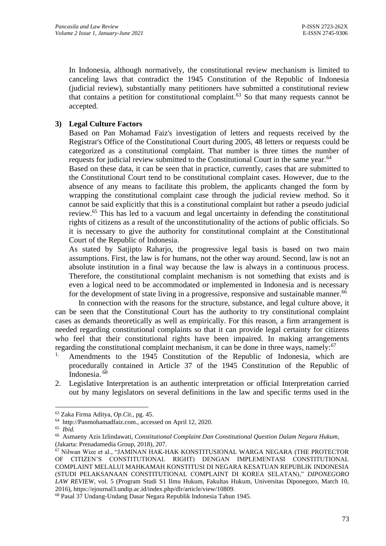In Indonesia, although normatively, the constitutional review mechanism is limited to canceling laws that contradict the 1945 Constitution of the Republic of Indonesia (judicial review), substantially many petitioners have submitted a constitutional review that contains a petition for constitutional complaint.<sup>63</sup> So that many requests cannot be accepted.

# **3) Legal Culture Factors**

Based on Pan Mohamad Faiz's investigation of letters and requests received by the Registrar's Office of the Constitutional Court during 2005, 48 letters or requests could be categorized as a constitutional complaint. That number is three times the number of requests for judicial review submitted to the Constitutional Court in the same year.<sup>64</sup>

Based on these data, it can be seen that in practice, currently, cases that are submitted to the Constitutional Court tend to be constitutional complaint cases. However, due to the absence of any means to facilitate this problem, the applicants changed the form by wrapping the constitutional complaint case through the judicial review method. So it cannot be said explicitly that this is a constitutional complaint but rather a pseudo judicial review.<sup>65</sup> This has led to a vacuum and legal uncertainty in defending the constitutional rights of citizens as a result of the unconstitutionality of the actions of public officials. So it is necessary to give the authority for constitutional complaint at the Constitutional Court of the Republic of Indonesia.

As stated by Satjipto Raharjo, the progressive legal basis is based on two main assumptions. First, the law is for humans, not the other way around. Second, law is not an absolute institution in a final way because the law is always in a continuous process. Therefore, the constitutional complaint mechanism is not something that exists and is even a logical need to be accommodated or implemented in Indonesia and is necessary for the development of state living in a progressive, responsive and sustainable manner.<sup>66</sup>

In connection with the reasons for the structure, substance, and legal culture above, it can be seen that the Constitutional Court has the authority to try constitutional complaint cases as demands theoretically as well as empirically. For this reason, a firm arrangement is needed regarding constitutional complaints so that it can provide legal certainty for citizens who feel that their constitutional rights have been impaired. In making arrangements regarding the constitutional complaint mechanism, it can be done in three ways, namely:<sup>67</sup>

- Amendments to the 1945 Constitution of the Republic of Indonesia, which are procedurally contained in Article 37 of the 1945 Constitution of the Republic of Indonesia. <sup>68</sup>
- 2. Legislative Interpretation is an authentic interpretation or official Interpretation carried out by many legislators on several definitions in the law and specific terms used in the

<sup>63</sup> Zaka Firma Aditya*, Op.Cit.,* pg. 45.

<sup>64</sup> http://Panmohamadfaiz.com., accessed on April 12, 2020.

<sup>65</sup> *Ibid.*

<sup>66</sup> Asmaeny Azis Izlindawati, *Constitutional Complaint Dan Constitutional Question Dalam Negara Hukum*, (Jakarta: Prenadamedia Group, 2018), 207.

<sup>67</sup> Nilwan Wize et al., "JAMINAN HAK-HAK KONSTITUSIONAL WARGA NEGARA (THE PROTECTOR OF CITIZEN'S CONSTITUTIONAL RIGHT) DENGAN IMPLEMENTASI CONSTITUTIONAL COMPLAINT MELALUI MAHKAMAH KONSTITUSI DI NEGARA KESATUAN REPUBLIK INDONESIA (STUDI PELAKSANAAN CONSTITUTIONAL COMPLAINT DI KOREA SELATAN)," *DIPONEGORO LAW REVIEW*, vol. 5 (Program Studi S1 Ilmu Hukum, Fakultas Hukum, Universitas Diponegoro, March 10, 2016), https://ejournal3.undip.ac.id/index.php/dlr/article/view/10809.

<sup>68</sup> Pasal 37 Undang-Undang Dasar Negara Republik Indonesia Tahun 1945.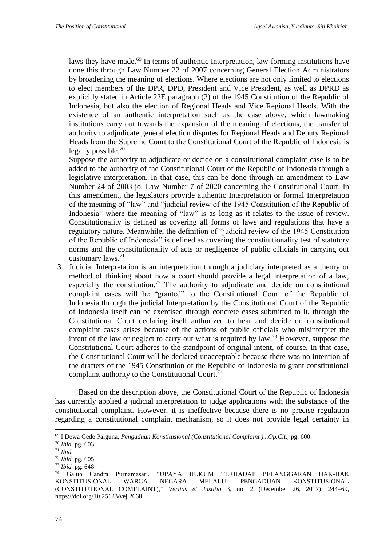laws they have made.<sup>69</sup> In terms of authentic Interpretation, law-forming institutions have done this through Law Number 22 of 2007 concerning General Election Administrators by broadening the meaning of elections. Where elections are not only limited to elections to elect members of the DPR, DPD, President and Vice President, as well as DPRD as explicitly stated in Article 22E paragraph (2) of the 1945 Constitution of the Republic of Indonesia, but also the election of Regional Heads and Vice Regional Heads. With the existence of an authentic interpretation such as the case above, which lawmaking institutions carry out towards the expansion of the meaning of elections, the transfer of authority to adjudicate general election disputes for Regional Heads and Deputy Regional Heads from the Supreme Court to the Constitutional Court of the Republic of Indonesia is legally possible.<sup>70</sup>

Suppose the authority to adjudicate or decide on a constitutional complaint case is to be added to the authority of the Constitutional Court of the Republic of Indonesia through a legislative interpretation. In that case, this can be done through an amendment to Law Number 24 of 2003 jo. Law Number 7 of 2020 concerning the Constitutional Court. In this amendment, the legislators provide authentic Interpretation or formal Interpretation of the meaning of "law" and "judicial review of the 1945 Constitution of the Republic of Indonesia" where the meaning of "law" is as long as it relates to the issue of review. Constitutionality is defined as covering all forms of laws and regulations that have a regulatory nature. Meanwhile, the definition of "judicial review of the 1945 Constitution of the Republic of Indonesia" is defined as covering the constitutionality test of statutory norms and the constitutionality of acts or negligence of public officials in carrying out customary laws.<sup>71</sup>

3. Judicial Interpretation is an interpretation through a judiciary interpreted as a theory or method of thinking about how a court should provide a legal interpretation of a law, especially the constitution.<sup>72</sup> The authority to adjudicate and decide on constitutional complaint cases will be "granted" to the Constitutional Court of the Republic of Indonesia through the judicial Interpretation by the Constitutional Court of the Republic of Indonesia itself can be exercised through concrete cases submitted to it, through the Constitutional Court declaring itself authorized to hear and decide on constitutional complaint cases arises because of the actions of public officials who misinterpret the intent of the law or neglect to carry out what is required by law.<sup>73</sup> However, suppose the Constitutional Court adheres to the standpoint of original intent, of course. In that case, the Constitutional Court will be declared unacceptable because there was no intention of the drafters of the 1945 Constitution of the Republic of Indonesia to grant constitutional complaint authority to the Constitutional Court.<sup>74</sup>

Based on the description above, the Constitutional Court of the Republic of Indonesia has currently applied a judicial interpretation to judge applications with the substance of the constitutional complaint. However, it is ineffective because there is no precise regulation regarding a constitutional complaint mechanism, so it does not provide legal certainty in

<sup>69</sup> I Dewa Gede Palguna, *Pengaduan Konstitusional (Constitutional Complaint )...Op.Cit.,* pg. 600.

<sup>70</sup> *Ibid.* pg. 603.

<sup>71</sup> *Ibid.*

<sup>72</sup> *Ibid.* pg. 605.

<sup>73</sup> *Ibid.* pg. 648.

<sup>74</sup> Galuh Candra Purnamasari, "UPAYA HUKUM TERHADAP PELANGGARAN HAK-HAK KONSTITUSIONAL WARGA NEGARA MELALUI PENGADUAN KONSTITUSIONAL (CONSTITUTIONAL COMPLAINT)," *Veritas et Justitia* 3, no. 2 (December 26, 2017): 244–69, https://doi.org/10.25123/vej.2668.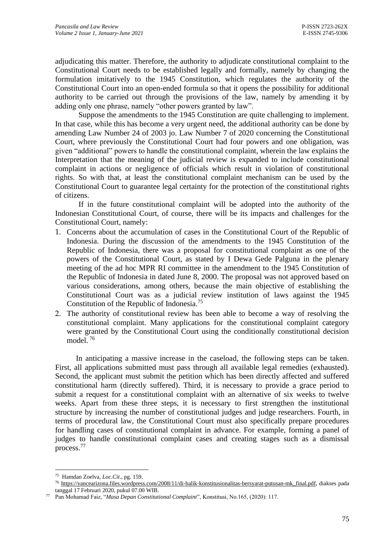adjudicating this matter. Therefore, the authority to adjudicate constitutional complaint to the Constitutional Court needs to be established legally and formally, namely by changing the formulation imitatively to the 1945 Constitution, which regulates the authority of the Constitutional Court into an open-ended formula so that it opens the possibility for additional authority to be carried out through the provisions of the law, namely by amending it by adding only one phrase, namely "other powers granted by law".

Suppose the amendments to the 1945 Constitution are quite challenging to implement. In that case, while this has become a very urgent need, the additional authority can be done by amending Law Number 24 of 2003 jo. Law Number 7 of 2020 concerning the Constitutional Court, where previously the Constitutional Court had four powers and one obligation, was given "additional" powers to handle the constitutional complaint, wherein the law explains the Interpretation that the meaning of the judicial review is expanded to include constitutional complaint in actions or negligence of officials which result in violation of constitutional rights. So with that, at least the constitutional complaint mechanism can be used by the Constitutional Court to guarantee legal certainty for the protection of the constitutional rights of citizens.

If in the future constitutional complaint will be adopted into the authority of the Indonesian Constitutional Court, of course, there will be its impacts and challenges for the Constitutional Court, namely:

- 1. Concerns about the accumulation of cases in the Constitutional Court of the Republic of Indonesia. During the discussion of the amendments to the 1945 Constitution of the Republic of Indonesia, there was a proposal for constitutional complaint as one of the powers of the Constitutional Court, as stated by I Dewa Gede Palguna in the plenary meeting of the ad hoc MPR RI committee in the amendment to the 1945 Constitution of the Republic of Indonesia in dated June 8, 2000. The proposal was not approved based on various considerations, among others, because the main objective of establishing the Constitutional Court was as a judicial review institution of laws against the 1945 Constitution of the Republic of Indonesia.<sup>75</sup>
- 2. The authority of constitutional review has been able to become a way of resolving the constitutional complaint. Many applications for the constitutional complaint category were granted by the Constitutional Court using the conditionally constitutional decision model. <sup>76</sup>

In anticipating a massive increase in the caseload, the following steps can be taken. First, all applications submitted must pass through all available legal remedies (exhausted). Second, the applicant must submit the petition which has been directly affected and suffered constitutional harm (directly suffered). Third, it is necessary to provide a grace period to submit a request for a constitutional complaint with an alternative of six weeks to twelve weeks. Apart from these three steps, it is necessary to first strengthen the institutional structure by increasing the number of constitutional judges and judge researchers. Fourth, in terms of procedural law, the Constitutional Court must also specifically prepare procedures for handling cases of constitutional complaint in advance. For example, forming a panel of judges to handle constitutional complaint cases and creating stages such as a dismissal process.<sup>77</sup>

<sup>75</sup> Hamdan Zoelva, *Loc.Cit*., pg. 159.

<sup>76</sup> [https://yancearizona.files.wordpress.com/2008/11/di-balik-konstitusionalitas-bersyarat-putusan-mk\\_final.pdf,](https://yancearizona.files.wordpress.com/2008/11/di-balik-konstitusionalitas-bersyarat-putusan-mk_final.pdf) diakses pada tanggal 17 Februari 2020, pukul 07.00 WIB.

<sup>77</sup> Pan Mohamad Faiz, "*Masa Depan Constitutional Complaint*", Konstitusi, No.165, (2020): 117.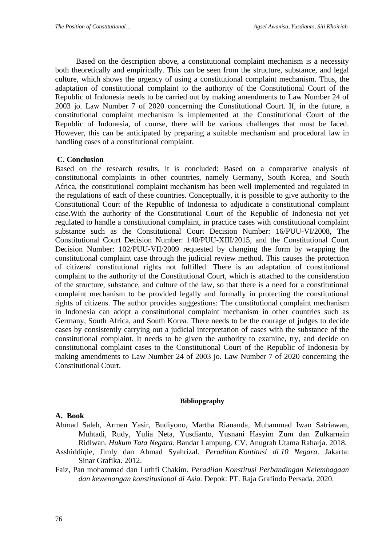Based on the description above, a constitutional complaint mechanism is a necessity both theoretically and empirically. This can be seen from the structure, substance, and legal culture, which shows the urgency of using a constitutional complaint mechanism*.* Thus, the adaptation of constitutional complaint to the authority of the Constitutional Court of the Republic of Indonesia needs to be carried out by making amendments to Law Number 24 of 2003 jo. Law Number 7 of 2020 concerning the Constitutional Court. If, in the future, a constitutional complaint mechanism is implemented at the Constitutional Court of the Republic of Indonesia, of course, there will be various challenges that must be faced. However, this can be anticipated by preparing a suitable mechanism and procedural law in handling cases of a constitutional complaint.

#### **C. Conclusion**

Based on the research results, it is concluded: Based on a comparative analysis of constitutional complaints in other countries, namely Germany, South Korea, and South Africa, the constitutional complaint mechanism has been well implemented and regulated in the regulations of each of these countries. Conceptually, it is possible to give authority to the Constitutional Court of the Republic of Indonesia to adjudicate a constitutional complaint case.With the authority of the Constitutional Court of the Republic of Indonesia not yet regulated to handle a constitutional complaint, in practice cases with constitutional complaint substance such as the Constitutional Court Decision Number: 16/PUU-VI/2008, The Constitutional Court Decision Number: 140/PUU-XIII/2015, and the Constitutional Court Decision Number: 102/PUU-VII/2009 requested by changing the form by wrapping the constitutional complaint case through the judicial review method. This causes the protection of citizens' constitutional rights not fulfilled. There is an adaptation of constitutional complaint to the authority of the Constitutional Court, which is attached to the consideration of the structure, substance, and culture of the law, so that there is a need for a constitutional complaint mechanism to be provided legally and formally in protecting the constitutional rights of citizens. The author provides suggestions: The constitutional complaint mechanism in Indonesia can adopt a constitutional complaint mechanism in other countries such as Germany, South Africa, and South Korea. There needs to be the courage of judges to decide cases by consistently carrying out a judicial interpretation of cases with the substance of the constitutional complaint. It needs to be given the authority to examine, try, and decide on constitutional complaint cases to the Constitutional Court of the Republic of Indonesia by making amendments to Law Number 24 of 2003 jo. Law Number 7 of 2020 concerning the Constitutional Court.

#### **Bibliopgraphy**

#### **A. Book**

- Ahmad Saleh, Armen Yasir, Budiyono, Martha Riananda, Muhammad Iwan Satriawan, Muhtadi, Rudy, Yulia Neta, Yusdianto, Yusnani Hasyim Zum dan Zulkarnain Ridlwan. *Hukum Tata Negara*. Bandar Lampung. CV. Anugrah Utama Raharja. 2018.
- Asshiddiqie, Jimly dan Ahmad Syahrizal. *Peradilan Kontitusi di 10 Negara*. Jakarta: Sinar Grafika. 2012.
- Faiz, Pan mohammad dan Luthfi Chakim. *Peradilan Konstitusi Perbandingan Kelembagaan dan kewenangan konstitusional di Asia.* Depok: PT. Raja Grafindo Persada. 2020.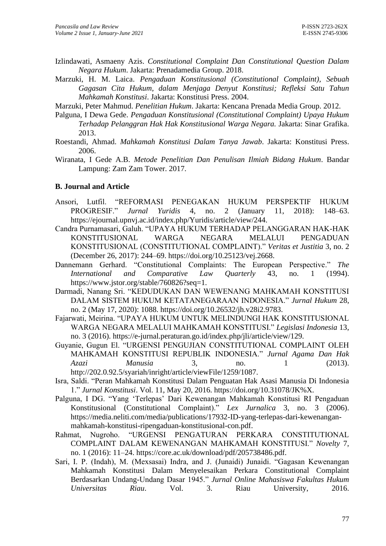- Izlindawati, Asmaeny Azis. *Constitutional Complaint Dan Constitutional Question Dalam Negara Hukum*. Jakarta: Prenadamedia Group. 2018.
- Marzuki, H. M. Laica. *Pengaduan Konstitusional (Constitutional Complaint), Sebuah Gagasan Cita Hukum, dalam Menjaga Denyut Konstitusi; Refleksi Satu Tahun Mahkamah Konstitusi*. Jakarta: Konstitusi Press. 2004.
- Marzuki, Peter Mahmud. *Penelitian Hukum*. Jakarta: Kencana Prenada Media Group. 2012.
- Palguna, I Dewa Gede. *Pengaduan Konstitusional (Constitutional Complaint) Upaya Hukum Terhadap Pelanggran Hak Hak Konstitusional Warga Negara.* Jakarta: Sinar Grafika. 2013.
- Roestandi, Ahmad. *Mahkamah Konstitusi Dalam Tanya Jawab*. Jakarta: Konstitusi Press. 2006.
- Wiranata, I Gede A.B. *Metode Penelitian Dan Penulisan Ilmiah Bidang Hukum*. Bandar Lampung: Zam Zam Tower. 2017.

#### **B. Journal and Article**

- Ansori, Lutfil. "REFORMASI PENEGAKAN HUKUM PERSPEKTIF HUKUM PROGRESIF." *Jurnal Yuridis* 4, no. 2 (January 11, 2018): 148–63. https://ejournal.upnvj.ac.id/index.php/Yuridis/article/view/244.
- Candra Purnamasari, Galuh. "UPAYA HUKUM TERHADAP PELANGGARAN HAK-HAK KONSTITUSIONAL WARGA NEGARA MELALUI PENGADUAN KONSTITUSIONAL (CONSTITUTIONAL COMPLAINT)." *Veritas et Justitia* 3, no. 2 (December 26, 2017): 244–69. https://doi.org/10.25123/vej.2668.
- Dannemann Gerhard. "Constitutional Complaints: The European Perspective." *The International and Comparative Law Quarterly* 43, no. 1 (1994). https://www.jstor.org/stable/760826?seq=1.
- Darmadi, Nanang Sri. "KEDUDUKAN DAN WEWENANG MAHKAMAH KONSTITUSI DALAM SISTEM HUKUM KETATANEGARAAN INDONESIA." *Jurnal Hukum* 28, no. 2 (May 17, 2020): 1088. https://doi.org/10.26532/jh.v28i2.9783.
- Fajarwati, Meirina. "UPAYA HUKUM UNTUK MELINDUNGI HAK KONSTITUSIONAL WARGA NEGARA MELALUI MAHKAMAH KONSTITUSI." *Legislasi Indonesia* 13, no. 3 (2016). https://e-jurnal.peraturan.go.id/index.php/jli/article/view/129.
- Guyanie, Gugun El. "URGENSI PENGUJIAN CONSTITUTIONAL COMPLAINT OLEH MAHKAMAH KONSTITUSI REPUBLIK INDONESIA." *Jurnal Agama Dan Hak Azazi Manusia* 3, no. 1 (2013). http://202.0.92.5/syariah/inright/article/viewFile/1259/1087.
- Isra, Saldi. "Peran Mahkamah Konstitusi Dalam Penguatan Hak Asasi Manusia Di Indonesia 1." *Jurnal Konstitusi*. Vol. 11, May 20, 2016. https://doi.org/10.31078/JK%X.
- Palguna, I DG. "Yang 'Terlepas' Dari Kewenangan Mahkamah Konstitusi RI Pengaduan Konstitusional (Constitutional Complaint)." *Lex Jurnalica* 3, no. 3 (2006). https://media.neliti.com/media/publications/17932-ID-yang-terlepas-dari-kewenanganmahkamah-konstitusi-ripengaduan-konstitusional-con.pdf.
- Rahmat, Nugroho. "URGENSI PENGATURAN PERKARA CONSTITUTIONAL COMPLAINT DALAM KEWENANGAN MAHKAMAH KONSTITUSI." *Novelty* 7, no. 1 (2016): 11–24. https://core.ac.uk/download/pdf/205738486.pdf.
- Sari, I. P. (Indah), M. (Mexsasai) Indra, and J. (Junaidi) Junaidi. "Gagasan Kewenangan Mahkamah Konstitusi Dalam Menyelesaikan Perkara Constitutional Complaint Berdasarkan Undang-Undang Dasar 1945." *Jurnal Online Mahasiswa Fakultas Hukum Universitas Riau*. Vol. 3. Riau University, 2016.